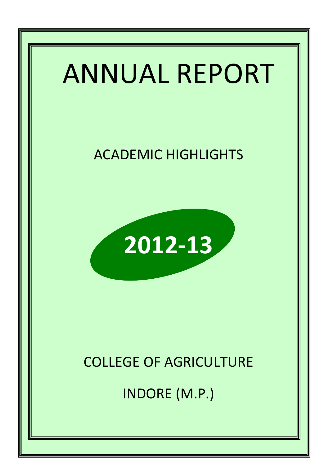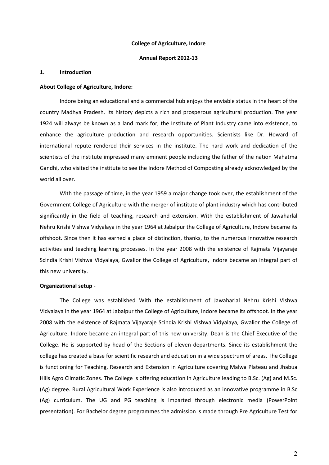#### College of Agriculture, Indore

#### Annual Report 2012-13

#### 1. Introduction

#### About College of Agriculture, Indore:

Indore being an educational and a commercial hub enjoys the enviable status in the heart of the country Madhya Pradesh. Its history depicts a rich and prosperous agricultural production. The year 1924 will always be known as a land mark for, the Institute of Plant Industry came into existence, to enhance the agriculture production and research opportunities. Scientists like Dr. Howard of international repute rendered their services in the institute. The hard work and dedication of the scientists of the institute impressed many eminent people including the father of the nation Mahatma Gandhi, who visited the institute to see the Indore Method of Composting already acknowledged by the world all over.

With the passage of time, in the year 1959 a major change took over, the establishment of the Government College of Agriculture with the merger of institute of plant industry which has contributed significantly in the field of teaching, research and extension. With the establishment of Jawaharlal Nehru Krishi Vishwa Vidyalaya in the year 1964 at Jabalpur the College of Agriculture, Indore became its offshoot. Since then it has earned a place of distinction, thanks, to the numerous innovative research activities and teaching learning processes. In the year 2008 with the existence of Rajmata Vijayaraje Scindia Krishi Vishwa Vidyalaya, Gwalior the College of Agriculture, Indore became an integral part of this new university.

#### Organizational setup -

The College was established With the establishment of Jawaharlal Nehru Krishi Vishwa Vidyalaya in the year 1964 at Jabalpur the College of Agriculture, Indore became its offshoot. In the year 2008 with the existence of Rajmata Vijayaraje Scindia Krishi Vishwa Vidyalaya, Gwalior the College of Agriculture, Indore became an integral part of this new university. Dean is the Chief Executive of the College. He is supported by head of the Sections of eleven departments. Since its establishment the college has created a base for scientific research and education in a wide spectrum of areas. The College is functioning for Teaching, Research and Extension in Agriculture covering Malwa Plateau and Jhabua Hills Agro Climatic Zones. The College is offering education in Agriculture leading to B.Sc. (Ag) and M.Sc. (Ag) degree. Rural Agricultural Work Experience is also introduced as an innovative programme in B.Sc (Ag) curriculum. The UG and PG teaching is imparted through electronic media (PowerPoint presentation). For Bachelor degree programmes the admission is made through Pre Agriculture Test for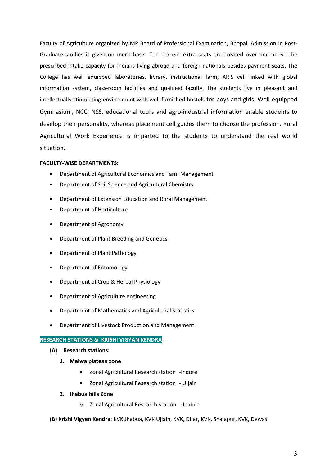Faculty of Agriculture organized by MP Board of Professional Examination, Bhopal. Admission in Post-Graduate studies is given on merit basis. Ten percent extra seats are created over and above the prescribed intake capacity for Indians living abroad and foreign nationals besides payment seats. The College has well equipped laboratories, library, instructional farm, ARIS cell linked with global information system, class-room facilities and qualified faculty. The students live in pleasant and intellectually stimulating environment with well-furnished hostels for boys and girls. Well-equipped Gymnasium, NCC, NSS, educational tours and agro-industrial information enable students to develop their personality, whereas placement cell guides them to choose the profession. Rural Agricultural Work Experience is imparted to the students to understand the real world situation.

#### FACULTY-WISE DEPARTMENTS:

- Department of Agricultural Economics and Farm Management
- Department of Soil Science and Agricultural Chemistry
- Department of Extension Education and Rural Management
- Department of Horticulture
- Department of Agronomy
- Department of Plant Breeding and Genetics
- Department of Plant Pathology
- Department of Entomology
- Department of Crop & Herbal Physiology
- Department of Agriculture engineering
- Department of Mathematics and Agricultural Statistics
- Department of Livestock Production and Management

#### RESEARCH STATIONS & KRISHI VIGYAN KENDRA

- (A) Research stations:
	- 1. Malwa plateau zone
		- Zonal Agricultural Research station -Indore
		- Zonal Agricultural Research station Ujjain
	- 2. Jhabua hills Zone
		- o Zonal Agricultural Research Station Jhabua
- (B) Krishi Vigyan Kendra: KVK Jhabua, KVK Ujjain, KVK, Dhar, KVK, Shajapur, KVK, Dewas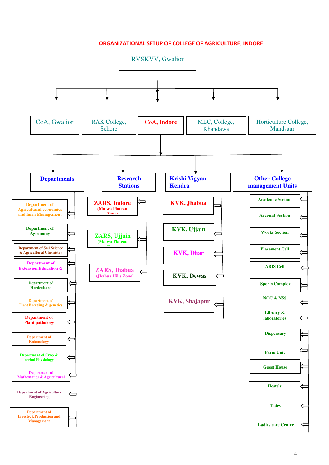ORGANIZATIONAL SETUP OF COLLEGE OF AGRICULTURE, INDORE

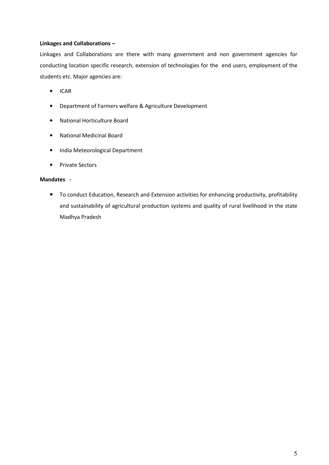#### Linkages and Collaborations –

Linkages and Collaborations are there with many government and non government agencies for conducting location specific research, extension of technologies for the end users, employment of the students etc. Major agencies are:

- ICAR
- Department of Farmers welfare & Agriculture Development
- National Horticulture Board
- National Medicinal Board
- India Meteorological Department
- Private Sectors

#### Mandates -

• To conduct Education, Research and Extension activities for enhancing productivity, profitability and sustainability of agricultural production systems and quality of rural livelihood in the state Madhya Pradesh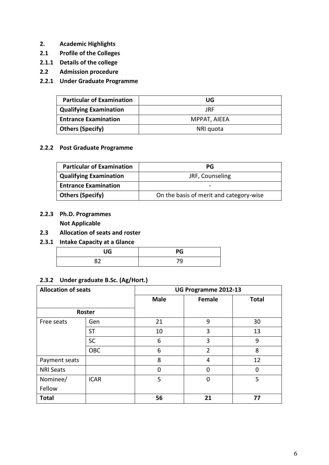- 2. Academic Highlights
- 2.1 Profile of the Colleges
- 2.1.1 Details of the college
- 2.2 Admission procedure
- 2.2.1 Under Graduate Programme

| <b>Particular of Examination</b> | UG           |
|----------------------------------|--------------|
| <b>Qualifying Examination</b>    | JRF          |
| <b>Entrance Examination</b>      | MPPAT, AIEEA |
| <b>Others (Specify)</b>          | NRI quota    |

#### 2.2.2 Post Graduate Programme

| <b>Particular of Examination</b> | PG                                      |
|----------------------------------|-----------------------------------------|
| <b>Qualifying Examination</b>    | JRF, Counseling                         |
| <b>Entrance Examination</b>      |                                         |
| <b>Others (Specify)</b>          | On the basis of merit and category-wise |

2.2.3 Ph.D. Programmes

Not Applicable

- 2.3 Allocation of seats and roster
- 2.3.1 Intake Capacity at a Glance

| UG       | PG |
|----------|----|
| ר מ<br>κ | 79 |

#### 2.3.2 Under graduate B.Sc. (Ag/Hort.)

| <b>Allocation of seats</b> |             | UG Programme 2012-13 |        |              |  |  |
|----------------------------|-------------|----------------------|--------|--------------|--|--|
|                            |             | <b>Male</b>          | Female | <b>Total</b> |  |  |
| Roster                     |             |                      |        |              |  |  |
| Free seats                 | Gen         | 21                   | 9      | 30           |  |  |
|                            | <b>ST</b>   | 10                   | 3      | 13           |  |  |
|                            | <b>SC</b>   | 6                    | 3      | 9            |  |  |
|                            | <b>OBC</b>  | 6                    | 2      | 8            |  |  |
| Payment seats              |             | 8                    | 4      | 12           |  |  |
| <b>NRI Seats</b>           |             | 0                    | 0      | 0            |  |  |
| Nominee/                   | <b>ICAR</b> | 5                    | 0      | 5            |  |  |
| Fellow                     |             |                      |        |              |  |  |
| <b>Total</b>               |             | 56                   | 21     | 77           |  |  |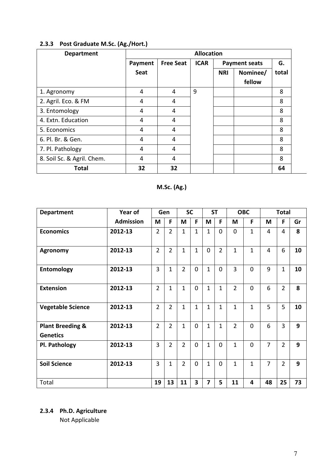| <b>Department</b>          |         |                  | <b>Allocation</b> |            |                      |       |
|----------------------------|---------|------------------|-------------------|------------|----------------------|-------|
|                            | Payment | <b>Free Seat</b> | <b>ICAR</b>       |            | <b>Payment seats</b> | G.    |
|                            | Seat    |                  |                   | <b>NRI</b> | Nominee/<br>fellow   | total |
| 1. Agronomy                | 4       | 4                | 9                 |            |                      | 8     |
| 2. Agril. Eco. & FM        | 4       | 4                |                   |            |                      | 8     |
| 3. Entomology              | 4       | 4                |                   |            |                      | 8     |
| 4. Extn. Education         | 4       | 4                |                   |            |                      | 8     |
| 5. Economics               | 4       | 4                |                   |            |                      | 8     |
| 6. Pl. Br. & Gen.          | 4       | 4                |                   |            |                      | 8     |
| 7. Pl. Pathology           | 4       | 4                |                   |            |                      | 8     |
| 8. Soil Sc. & Agril. Chem. | 4       | 4                |                   |            |                      | 8     |
| <b>Total</b>               | 32      | 32               |                   |            |                      | 64    |

# 2.3.3 Post Graduate M.Sc. (Ag./Hort.)

# M.Sc. (Ag.)

| <b>Department</b>                              | Year of          |                | Gen            | <b>SC</b>      |              | <b>ST</b>      |                |                | <b>OBC</b>   |                | <b>Total</b>   |    |
|------------------------------------------------|------------------|----------------|----------------|----------------|--------------|----------------|----------------|----------------|--------------|----------------|----------------|----|
|                                                | <b>Admission</b> | M              | F              | M              | F            | M              | F.             | M              | F            | M              | F              | Gr |
| <b>Economics</b>                               | 2012-13          | $\overline{2}$ | $\overline{2}$ | $\mathbf{1}$   | $\mathbf{1}$ | $\mathbf{1}$   | $\Omega$       | $\Omega$       | $\mathbf{1}$ | 4              | 4              | 8  |
| <b>Agronomy</b>                                | 2012-13          | $\overline{2}$ | $\overline{2}$ | $\mathbf{1}$   | $\mathbf{1}$ | $\Omega$       | $\overline{2}$ | $\mathbf{1}$   | $\mathbf{1}$ | $\overline{4}$ | 6              | 10 |
| <b>Entomology</b>                              | 2012-13          | 3              | $\mathbf{1}$   | $\overline{2}$ | $\mathbf 0$  | $\mathbf{1}$   | $\Omega$       | $\overline{3}$ | $\Omega$     | 9              | $\mathbf{1}$   | 10 |
| <b>Extension</b>                               | 2012-13          | $\overline{2}$ | $\mathbf{1}$   | $\mathbf{1}$   | $\mathbf 0$  | $\mathbf{1}$   | $\mathbf{1}$   | $\overline{2}$ | $\Omega$     | 6              | $\overline{2}$ | 8  |
| <b>Vegetable Science</b>                       | 2012-13          | $\overline{2}$ | $\overline{2}$ | $\mathbf{1}$   | $\mathbf{1}$ | $\mathbf{1}$   | $\mathbf{1}$   | $\mathbf{1}$   | $\mathbf{1}$ | 5              | 5              | 10 |
| <b>Plant Breeding &amp;</b><br><b>Genetics</b> | 2012-13          | $\overline{2}$ | $\overline{2}$ | $\mathbf{1}$   | $\mathbf 0$  | $\mathbf{1}$   | $\mathbf{1}$   | $\overline{2}$ | $\Omega$     | 6              | 3              | 9  |
| Pl. Pathology                                  | 2012-13          | 3              | $\overline{2}$ | $\overline{2}$ | $\mathbf 0$  | $\mathbf{1}$   | $\overline{0}$ | $\mathbf{1}$   | $\Omega$     | $\overline{7}$ | $\overline{2}$ | 9  |
| <b>Soil Science</b>                            | 2012-13          | $\overline{3}$ | $\mathbf{1}$   | $\overline{2}$ | $\Omega$     | $\mathbf{1}$   | $\Omega$       | $\mathbf{1}$   | $\mathbf{1}$ | $\overline{7}$ | $\overline{2}$ | 9  |
| Total                                          |                  | 19             | 13             | 11             | 3            | $\overline{7}$ | 5              | 11             | 4            | 48             | 25             | 73 |

2.3.4 Ph.D. Agriculture

Not Applicable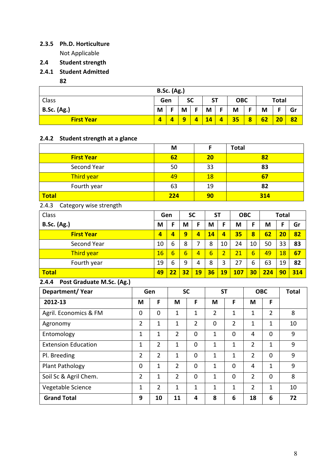# 2.3.5 Ph.D. Horticulture

Not Applicable

- 2.4 Student strength
- 2.4.1 Student Admitted
	- 82

| <b>B.Sc. (Ag.)</b> |                         |   |   |           |           |   |            |   |    |       |    |
|--------------------|-------------------------|---|---|-----------|-----------|---|------------|---|----|-------|----|
| Class              | Gen                     |   |   | <b>SC</b> | <b>ST</b> |   | <b>OBC</b> |   |    | Total |    |
| <b>B.Sc. (Ag.)</b> | M                       | Е | M | E         | M         |   | M          | Е | M  |       | Gr |
| <b>First Year</b>  | $\overline{\mathbf{A}}$ |   | a |           | 14        | 4 | 35         | 8 | 62 | 20    | 82 |

#### 2.4.2 Student strength at a glance

|                                    |                |                | M               |                 |                | F              |                | <b>Total</b>   |                 |                |              |              |
|------------------------------------|----------------|----------------|-----------------|-----------------|----------------|----------------|----------------|----------------|-----------------|----------------|--------------|--------------|
| <b>First Year</b>                  |                |                | 62              |                 |                | 20             |                |                |                 | 82             |              |              |
| Second Year                        |                |                | 50              |                 |                | 33             |                |                |                 | 83             |              |              |
| Third year                         |                |                | 49              |                 |                | 18             |                | 67             |                 |                |              |              |
| Fourth year                        |                |                | 63              |                 |                | 19             |                | 82             |                 |                |              |              |
| <b>Total</b>                       |                |                | 224             |                 |                | 90             |                |                |                 | 314            |              |              |
| 2.4.3<br>Category wise strength    |                |                |                 |                 |                |                |                |                |                 |                |              |              |
| Class                              |                |                | Gen             |                 | <b>SC</b>      | <b>ST</b>      |                | <b>OBC</b>     |                 |                | <b>Total</b> |              |
| <b>B.Sc. (Ag.)</b>                 |                | M              | F               | M               | F              | M              | F              | M              | F               | M              | F            | Gr           |
| <b>First Year</b>                  |                | $\overline{4}$ | $\overline{a}$  | $\overline{9}$  | $\overline{4}$ | 14             | $\overline{4}$ | 35             | 8               | 62             | 20           | 82           |
| Second Year                        |                | 10             | 6               | 8               | $\overline{7}$ | 8              | 10             | 24             | 10              | 50             | 33           | 83           |
| Third year                         |                | 16             | $6\overline{6}$ | $6\overline{6}$ | $\overline{4}$ | $6\overline{}$ | $\overline{2}$ | 21             | $6\overline{6}$ | 49             | 18           | 67           |
| Fourth year                        |                | 19             | 6               | 9               | 4              | 8              | $\overline{3}$ | 27             | 6               | 63             | 19           | 82           |
| <b>Total</b>                       |                | 49             | 22              | 32              | 19             | 36             | 19             | <b>107</b>     | 30              | 224            | 90           | 314          |
| Post Graduate M.Sc. (Ag.)<br>2.4.4 |                |                |                 |                 |                |                |                |                |                 |                |              |              |
|                                    |                |                |                 | <b>SC</b>       |                |                | <b>ST</b>      |                |                 | <b>OBC</b>     |              | <b>Total</b> |
| Department/Year                    | Gen            |                |                 |                 |                |                |                |                |                 |                |              |              |
| 2012-13                            | M              | F              | M               |                 | F              | M              |                | F              | M               | F              |              |              |
| Agril. Economics & FM              | $\overline{0}$ | $\overline{0}$ | $\mathbf{1}$    |                 | $\mathbf{1}$   | $\overline{2}$ |                | $\mathbf{1}$   | $\mathbf{1}$    | $\overline{2}$ |              | 8            |
| Agronomy                           | $\overline{2}$ | 1              | $\mathbf{1}$    |                 | $\overline{2}$ | $\overline{0}$ |                | $\overline{2}$ | $\mathbf{1}$    | 1              |              | 10           |
| Entomology                         | $\mathbf{1}$   | $\mathbf{1}$   | $\overline{2}$  |                 | 0              | $\mathbf{1}$   |                | $\mathbf 0$    | 4               | $\mathbf 0$    |              | 9            |
| <b>Extension Education</b>         | $\mathbf{1}$   | $\overline{2}$ | $\mathbf{1}$    |                 | $\overline{0}$ | $\mathbf{1}$   |                | $\mathbf{1}$   | $\overline{2}$  | $\mathbf{1}$   |              | 9            |
| Pl. Breeding                       | $\overline{2}$ | $\overline{2}$ | $\mathbf{1}$    |                 | $\overline{0}$ | $\mathbf{1}$   |                | $\mathbf{1}$   | $\overline{2}$  | $\overline{0}$ |              | 9            |
| Plant Pathology                    | $\mathbf 0$    | $\mathbf{1}$   | $\overline{2}$  |                 | $\overline{0}$ | $\mathbf{1}$   |                | $\overline{0}$ | $\overline{4}$  | $\mathbf{1}$   |              | 9            |
| Soil Sc & Agril Chem.              | $\overline{2}$ | $\mathbf{1}$   | $\overline{2}$  |                 | $\overline{0}$ | $\mathbf{1}$   |                | $\overline{0}$ | $\overline{2}$  | $\Omega$       |              | 8            |
| Vegetable Science                  | $\mathbf{1}$   | $\overline{2}$ | $\mathbf{1}$    |                 | $\mathbf{1}$   | $\mathbf{1}$   |                | $\mathbf{1}$   | $\overline{2}$  | $\mathbf{1}$   |              | 10           |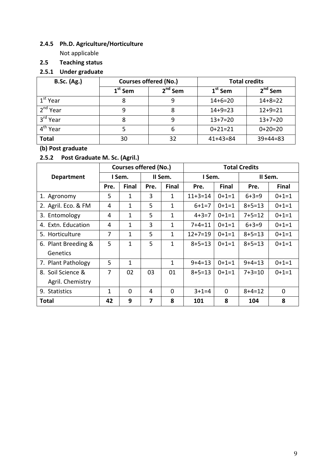## 2.4.5 Ph.D. Agriculture/Horticulture

Not applicable

## 2.5 Teaching status

## 2.5.1 Under graduate

| <b>B.Sc. (Ag.)</b>   |           | <b>Courses offered (No.)</b> | <b>Total credits</b> |               |  |
|----------------------|-----------|------------------------------|----------------------|---------------|--|
|                      | $1st$ Sem | 2 <sup>nd</sup> Sem          | $1st$ Sem            | $2nd$ Sem     |  |
| 1 <sup>st</sup> Year |           | 9                            | $14 + 6 = 20$        | $14 + 8 = 22$ |  |
| 2 <sup>nd</sup> Year | 9         | 8                            | $14 + 9 = 23$        | $12+9=21$     |  |
| 3 <sup>rd</sup> Year | 8         | 9                            | $13+7=20$            | $13+7=20$     |  |
| 4 <sup>th</sup> Year |           | 6                            | $0+21=21$            | $0+20=20$     |  |
| <b>Total</b>         | 30        | 32                           | $41+43=84$           | $39+44=83$    |  |

## (b) Post graduate

## 2.5.2 Post Graduate M. Sc. (Agril.)

|                         |      | <b>Courses offered (No.)</b> |      |              |              |              | <b>Total Credits</b> |              |
|-------------------------|------|------------------------------|------|--------------|--------------|--------------|----------------------|--------------|
| <b>Department</b>       |      | I Sem.                       |      | II Sem.      | I Sem.       |              | II Sem.              |              |
|                         | Pre. | <b>Final</b>                 | Pre. | <b>Final</b> | Pre.         | <b>Final</b> | Pre.                 | <b>Final</b> |
| 1. Agronomy             | 5    | 1                            | 3    | 1            | $11+3=14$    | $0+1=1$      | $6 + 3 = 9$          | $0+1=1$      |
| 2. Agril. Eco. & FM     | 4    | 1                            | 5    | 1            | $6 + 1 = 7$  | $0+1=1$      | $8 + 5 = 13$         | $0+1=1$      |
| 3. Entomology           | 4    | 1                            | 5    | 1            | $4 + 3 = 7$  | $0+1=1$      | $7+5=12$             | $0+1=1$      |
| 4. Extn. Education      | 4    | 1                            | 3    | 1            | $7 + 4 = 11$ | $0+1=1$      | $6 + 3 = 9$          | $0+1=1$      |
| 5. Horticulture         | 7    | 1                            | 5    | 1            | $12+7=19$    | $() + 1 = 1$ | $8 + 5 = 13$         | $0+1=1$      |
| 6. Plant Breeding &     | 5    | $\mathbf{1}$                 | 5    | 1            | $8 + 5 = 13$ | $0+1=1$      | $8 + 5 = 13$         | $0+1=1$      |
| Genetics                |      |                              |      |              |              |              |                      |              |
| 7. Plant Pathology      | 5    | 1                            |      | 1            | $9+4=13$     | $0+1=1$      | $9 + 4 = 13$         | $0+1=1$      |
| 8. Soil Science &       | 7    | 02                           | 03   | 01           | $8 + 5 = 13$ | $() + 1 = 1$ | $7 + 3 = 10$         | $0+1=1$      |
| Agril. Chemistry        |      |                              |      |              |              |              |                      |              |
| <b>Statistics</b><br>9. | 1    | $\mathbf 0$                  | 4    | $\mathbf 0$  | $3+1=4$      | $\mathbf 0$  | $8 + 4 = 12$         | 0            |
| <b>Total</b>            | 42   | 9                            | 7    | 8            | 101          | 8            | 104                  | 8            |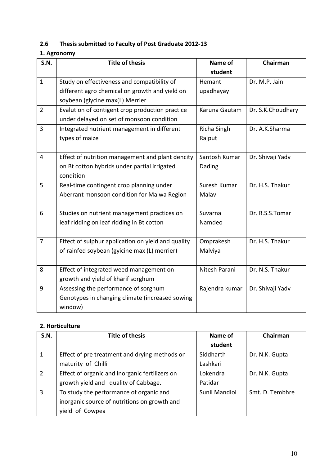# 2.6 Thesis submitted to Faculty of Post Graduate 2012-13

## 1. Agronomy

| <b>S.N.</b>    | <b>Title of thesis</b>                             | Name of        | Chairman          |
|----------------|----------------------------------------------------|----------------|-------------------|
|                |                                                    | student        |                   |
| $\mathbf{1}$   | Study on effectiveness and compatibility of        | Hemant         | Dr. M.P. Jain     |
|                | different agro chemical on growth and yield on     | upadhayay      |                   |
|                | soybean (glycine max(L) Merrier                    |                |                   |
| $\overline{2}$ | Evalution of contigent crop production practice    | Karuna Gautam  | Dr. S.K.Choudhary |
|                | under delayed on set of monsoon condition          |                |                   |
| 3              | Integrated nutrient management in different        | Richa Singh    | Dr. A.K.Sharma    |
|                | types of maize                                     | Rajput         |                   |
|                |                                                    |                |                   |
| 4              | Effect of nutrition management and plant dencity   | Santosh Kumar  | Dr. Shivaji Yadv  |
|                | on Bt cotton hybrids under partial irrigated       | Dading         |                   |
|                | condition                                          |                |                   |
| 5              | Real-time contingent crop planning under           | Suresh Kumar   | Dr. H.S. Thakur   |
|                | Aberrant monsoon condition for Malwa Region        | Malav          |                   |
|                |                                                    |                |                   |
| 6              | Studies on nutrient management practices on        | Suvarna        | Dr. R.S.S.Tomar   |
|                | leaf ridding on leaf ridding in Bt cotton          | Namdeo         |                   |
|                |                                                    |                |                   |
| 7              | Effect of sulphur application on yield and quality | Omprakesh      | Dr. H.S. Thakur   |
|                | of rainfed soybean (gyicine max (L) merrier)       | Malviya        |                   |
|                |                                                    |                |                   |
| 8              | Effect of integrated weed management on            | Nitesh Parani  | Dr. N.S. Thakur   |
|                | growth and yield of kharif sorghum                 |                |                   |
| 9              | Assessing the performance of sorghum               | Rajendra kumar | Dr. Shivaji Yadv  |
|                | Genotypes in changing climate (increased sowing    |                |                   |
|                | window)                                            |                |                   |

### 2. Horticulture

| S.N.           | <b>Title of thesis</b>                         | Name of       | Chairman        |
|----------------|------------------------------------------------|---------------|-----------------|
|                |                                                | student       |                 |
|                | Effect of pre treatment and drying methods on  | Siddharth     | Dr. N.K. Gupta  |
|                | maturity of Chilli                             | Lashkari      |                 |
| $\overline{2}$ | Effect of organic and inorganic fertilizers on | Lokendra      | Dr. N.K. Gupta  |
|                | growth yield and quality of Cabbage.           | Patidar       |                 |
| 3              | To study the performance of organic and        | Sunil Mandloi | Smt. D. Tembhre |
|                | inorganic source of nutritions on growth and   |               |                 |
|                | yield of Cowpea                                |               |                 |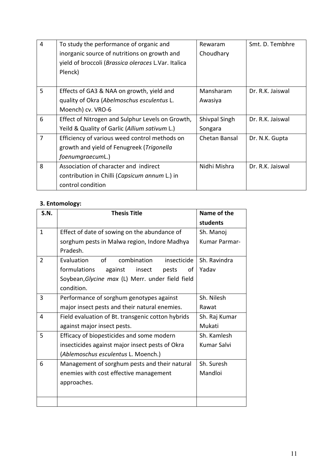| 4              | To study the performance of organic and             | Rewaram       | Smt. D. Tembhre  |
|----------------|-----------------------------------------------------|---------------|------------------|
|                | inorganic source of nutritions on growth and        | Choudhary     |                  |
|                | yield of broccoli (Brassica oleraces L.Var. Italica |               |                  |
|                | Plenck)                                             |               |                  |
|                |                                                     |               |                  |
| 5              | Effects of GA3 & NAA on growth, yield and           | Mansharam     | Dr. R.K. Jaiswal |
|                | quality of Okra (Abelmoschus esculentus L.          | Awasiya       |                  |
|                | Moench) cv. VRO-6                                   |               |                  |
| 6              | Effect of Nitrogen and Sulphur Levels on Growth,    | Shivpal Singh | Dr. R.K. Jaiswal |
|                | Yeild & Quality of Garlic (Allium sativum L.)       | Songara       |                  |
| $\overline{7}$ | Efficiency of various weed control methods on       | Chetan Bansal | Dr. N.K. Gupta   |
|                | growth and yield of Fenugreek (Trigonella           |               |                  |
|                | foenumgraecumL.)                                    |               |                  |
| 8              | Association of character and indirect               | Nidhi Mishra  | Dr. R.K. Jaiswal |
|                | contribution in Chilli (Capsicum annum L.) in       |               |                  |
|                | control condition                                   |               |                  |

## 3. Entomology:

| <b>S.N.</b>    | <b>Thesis Title</b>                               | Name of the   |
|----------------|---------------------------------------------------|---------------|
|                |                                                   | students      |
| $\mathbf{1}$   | Effect of date of sowing on the abundance of      | Sh. Manoj     |
|                | sorghum pests in Malwa region, Indore Madhya      | Kumar Parmar- |
|                | Pradesh.                                          |               |
| $\overline{2}$ | Evaluation<br>combination<br>insecticide<br>οf    | Sh. Ravindra  |
|                | formulations<br>against<br>insect<br>of<br>pests  | Yadav         |
|                | Soybean, Glycine max (L) Merr. under field field  |               |
|                | condition.                                        |               |
| 3              | Performance of sorghum genotypes against          | Sh. Nilesh    |
|                | major insect pests and their natural enemies.     | Rawat         |
| 4              | Field evaluation of Bt. transgenic cotton hybrids | Sh. Raj Kumar |
|                | against major insect pests.                       | Mukati        |
| 5              | Efficacy of biopesticides and some modern         | Sh. Kamlesh   |
|                | insecticides against major insect pests of Okra   | Kumar Salvi   |
|                | (Ablemoschus esculentus L. Moench.)               |               |
| 6              | Management of sorghum pests and their natural     | Sh. Suresh    |
|                | enemies with cost effective management            | Mandloi       |
|                | approaches.                                       |               |
|                |                                                   |               |
|                |                                                   |               |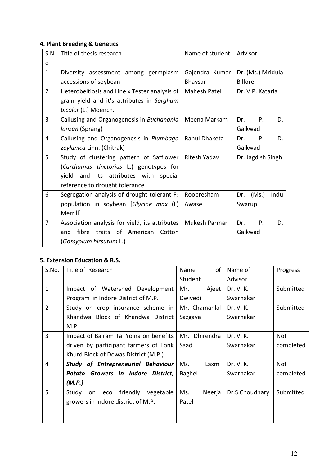## 4. Plant Breeding & Genetics

| S.N            | Title of thesis research                       | Name of student | Advisor                  |
|----------------|------------------------------------------------|-----------------|--------------------------|
| $\mathbf 0$    |                                                |                 |                          |
| $\mathbf{1}$   | Diversity assessment among germplasm           | Gajendra Kumar  | Dr. (Ms.) Mridula        |
|                | accessions of soybean                          | <b>Bhavsar</b>  | <b>Billore</b>           |
| $\overline{2}$ | Heterobeltiosis and Line x Tester analysis of  | Mahesh Patel    | Dr. V.P. Kataria         |
|                | grain yield and it's attributes in Sorghum     |                 |                          |
|                | bicolor (L.) Moench.                           |                 |                          |
| 3              | Callusing and Organogenesis in Buchanania      | Meena Markam    | $P_{\cdot}$<br>Dr.<br>D. |
|                | lanzan (Sprang)                                |                 | Gaikwad                  |
| 4              | Callusing and Organogenesis in Plumbago        | Rahul Dhaketa   | $P_{\cdot}$<br>Dr.<br>D. |
|                | zeylanica Linn. (Chitrak)                      |                 | Gaikwad                  |
| 5              | Study of clustering pattern of Safflower       | Ritesh Yadav    | Dr. Jagdish Singh        |
|                | (Carthamus tinctorius L.) genotypes for        |                 |                          |
|                | and its attributes with special<br>yield       |                 |                          |
|                | reference to drought tolerance                 |                 |                          |
| 6              | Segregation analysis of drought tolerant $F_2$ | Roopresham      | Dr. $(Ms.)$<br>Indu      |
|                | population in soybean [Glycine max (L)         | Awase           | Swarup                   |
|                | Merrill]                                       |                 |                          |
| $\overline{7}$ | Association analysis for yield, its attributes | Mukesh Parmar   | Dr.<br>P.<br>D.          |
|                | fibre<br>traits of American<br>Cotton<br>and   |                 | Gaikwad                  |
|                | (Gossypium hirsutum L.)                        |                 |                          |

## 5. Extension Education & R.S.

| S.No.          | Title of Research                           | of<br>Name    | Name of        | Progress  |
|----------------|---------------------------------------------|---------------|----------------|-----------|
|                |                                             | Student       | Advisor        |           |
| $\mathbf{1}$   | Impact of Watershed Development             | Mr.<br>Ajeet  | Dr. V. K.      | Submitted |
|                | Program in Indore District of M.P.          | Dwivedi       | Swarnakar      |           |
| $\overline{2}$ | Study on crop insurance scheme in           | Mr. Chamanlal | Dr. V. K.      | Submitted |
|                | Khandwa Block of Khandwa District           | Sazgaya       | Swarnakar      |           |
|                | M.P.                                        |               |                |           |
| $\overline{3}$ | Impact of Balram Tal Yojna on benefits      | Mr. Dhirendra | Dr. V. K.      | Not       |
|                | driven by participant farmers of Tonk       | Saad          | Swarnakar      | completed |
|                | Khurd Block of Dewas District (M.P.)        |               |                |           |
| 4              | <b>Study of Entrepreneurial Behaviour</b>   | Ms.<br>Laxmi  | Dr. V. K.      | Not       |
|                | Potato Growers in Indore District,          | Baghel        | Swarnakar      | completed |
|                | (M.P.)                                      |               |                |           |
| 5              | friendly<br>vegetable<br>Study<br>eco<br>on | Ms.<br>Neerja | Dr.S.Choudhary | Submitted |
|                | growers in Indore district of M.P.          | Patel         |                |           |
|                |                                             |               |                |           |
|                |                                             |               |                |           |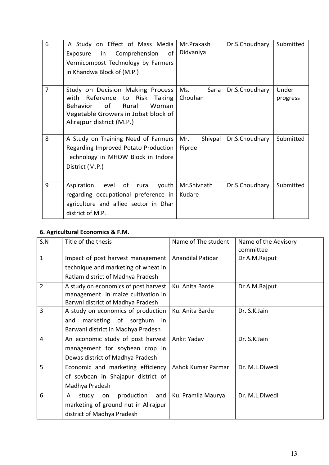| 6 | A Study on Effect of Mass Media<br>Exposure in Comprehension<br>of<br>Vermicompost Technology by Farmers<br>in Khandwa Block of (M.P.)                                              | Mr.Prakash<br>Didvaniya  | Dr.S.Choudhary | Submitted         |
|---|-------------------------------------------------------------------------------------------------------------------------------------------------------------------------------------|--------------------------|----------------|-------------------|
| 7 | Study on Decision Making Process<br>Reference to Risk Taking<br>with<br>of<br>Rural<br><b>Behavior</b><br>Woman<br>Vegetable Growers in Jobat block of<br>Alirajpur district (M.P.) | Ms.<br>Sarla<br>Chouhan  | Dr.S.Choudhary | Under<br>progress |
| 8 | A Study on Training Need of Farmers<br>Regarding Improved Potato Production<br>Technology in MHOW Block in Indore<br>District (M.P.)                                                | Mr.<br>Shivpal<br>Piprde | Dr.S.Choudhary | Submitted         |
| 9 | of<br>level<br>Aspiration<br>youth<br>rural<br>regarding occupational preference in<br>agriculture and allied sector in Dhar<br>district of M.P.                                    | Mr.Shivnath<br>Kudare    | Dr.S.Choudhary | Submitted         |

## 6. Agricultural Economics & F.M.

| S.N            | Title of the thesis                                                                                             | Name of The student      | Name of the Advisory<br>committee |
|----------------|-----------------------------------------------------------------------------------------------------------------|--------------------------|-----------------------------------|
| $\mathbf{1}$   | Impact of post harvest management<br>technique and marketing of wheat in                                        | <b>Anandilal Patidar</b> | Dr A.M.Rajput                     |
|                | Ratlam district of Madhya Pradesh                                                                               |                          |                                   |
| $\overline{2}$ | A study on economics of post harvest<br>management in maize cultivation in<br>Barwni district of Madhya Pradesh | Ku. Anita Barde          | Dr A.M.Rajput                     |
| $\overline{3}$ | A study on economics of production<br>marketing of sorghum<br>and<br>in.<br>Barwani district in Madhya Pradesh  | Ku. Anita Barde          | Dr. S.K.Jain                      |
| 4              | An economic study of post harvest<br>management for soybean crop in<br>Dewas district of Madhya Pradesh         | Ankit Yadav              | Dr. S.K.Jain                      |
| 5              | Economic and marketing efficiency<br>of soybean in Shajapur district of<br>Madhya Pradesh                       | Ashok Kumar Parmar       | Dr. M.L.Diwedi                    |
| 6              | study<br>production<br>A<br>and<br>on<br>marketing of ground nut in Alirajpur<br>district of Madhya Pradesh     | Ku. Pramila Maurya       | Dr. M.L.Diwedi                    |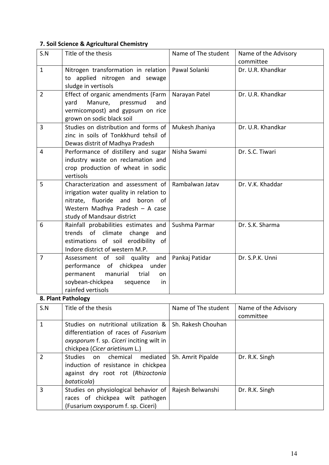## 7. Soil Science & Agricultural Chemistry

| S.N            | Title of the thesis                                                                                                                                                                 | Name of The student | Name of the Advisory<br>committee |
|----------------|-------------------------------------------------------------------------------------------------------------------------------------------------------------------------------------|---------------------|-----------------------------------|
| $\mathbf{1}$   | Nitrogen transformation in relation<br>to applied nitrogen and sewage<br>sludge in vertisols                                                                                        | Pawal Solanki       | Dr. U.R. Khandkar                 |
| $\overline{2}$ | Effect of organic amendments (Farm<br>Manure,<br>pressmud<br>yard<br>and<br>vermicompost) and gypsum on rice<br>grown on sodic black soil                                           | Narayan Patel       | Dr. U.R. Khandkar                 |
| 3              | Studies on distribution and forms of<br>zinc in soils of Tonkkhurd tehsil of<br>Dewas distrit of Madhya Pradesh                                                                     | Mukesh Jhaniya      | Dr. U.R. Khandkar                 |
| 4              | Performance of distillery and sugar<br>industry waste on reclamation and<br>crop production of wheat in sodic<br>vertisols                                                          | Nisha Swami         | Dr. S.C. Tiwari                   |
| 5              | Characterization and assessment of<br>irrigation water quality in relation to<br>nitrate, fluoride and<br>boron of<br>Western Madhya Pradesh - A case<br>study of Mandsaur district | Rambalwan Jatav     | Dr. V.K. Khaddar                  |
| 6              | Rainfall probabilities estimates and<br>trends of<br>climate<br>change<br>and<br>estimations of soil erodibility of<br>Indore district of western M.P.                              | Sushma Parmar       | Dr. S.K. Sharma                   |
| 7              | Assessment of soil quality and<br>performance of chickpea under<br>permanent<br>manurial<br>trial<br>on<br>soybean-chickpea<br>in<br>sequence<br>rainfed vertisols                  | Pankaj Patidar      | Dr. S.P.K. Unni                   |
|                | 8. Plant Pathology                                                                                                                                                                  |                     |                                   |
| S.N            | Title of the thesis                                                                                                                                                                 | Name of The student | Name of the Advisory<br>committee |
| $\mathbf{1}$   | Studies on nutritional utilization &<br>differentiation of races of Fusarium<br>oxysporum f. sp. Ciceri inciting wilt in<br>chickpea (Cicer arietinum L.)                           | Sh. Rakesh Chouhan  |                                   |
| $\overline{2}$ | <b>Studies</b><br>chemical<br>mediated<br>on<br>induction of resistance in chickpea<br>against dry root rot (Rhizoctonia<br>bataticola)                                             | Sh. Amrit Pipalde   | Dr. R.K. Singh                    |
| 3              | Studies on physiological behavior of<br>races of chickpea wilt pathogen<br>(Fusarium oxysporum f. sp. Ciceri)                                                                       | Rajesh Belwanshi    | Dr. R.K. Singh                    |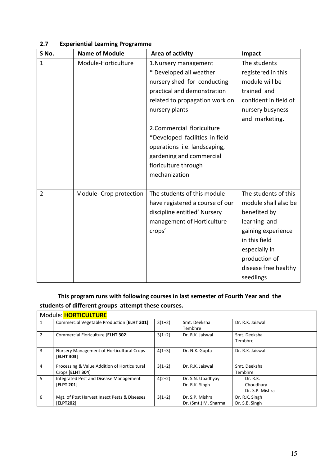| S No.          | <b>Name of Module</b>   | Area of activity                | Impact                |
|----------------|-------------------------|---------------------------------|-----------------------|
| $\mathbf{1}$   | Module-Horticulture     | 1. Nursery management           | The students          |
|                |                         | * Developed all weather         | registered in this    |
|                |                         | nursery shed for conducting     | module will be        |
|                |                         | practical and demonstration     | trained and           |
|                |                         | related to propagation work on  | confident in field of |
|                |                         | nursery plants                  | nursery busyness      |
|                |                         |                                 | and marketing.        |
|                |                         | 2. Commercial floriculture      |                       |
|                |                         | *Developed facilities in field  |                       |
|                |                         | operations i.e. landscaping,    |                       |
|                |                         | gardening and commercial        |                       |
|                |                         | floriculture through            |                       |
|                |                         | mechanization                   |                       |
|                |                         |                                 |                       |
| $\overline{2}$ | Module- Crop protection | The students of this module     | The students of this  |
|                |                         | have registered a course of our | module shall also be  |
|                |                         | discipline entitled' Nursery    | benefited by          |
|                |                         | management of Horticulture      | learning and          |
|                |                         | crops'                          | gaining experience    |
|                |                         |                                 | in this field         |
|                |                         |                                 | especially in         |
|                |                         |                                 | production of         |
|                |                         |                                 | disease free healthy  |
|                |                         |                                 | seedlings             |

#### 2.7 Experiential Learning Programme

## This program runs with following courses in last semester of Fourth Year and the students of different groups attempt these courses.

|   | Module: HORTICULTURE                                             |          |                                         |                                          |  |
|---|------------------------------------------------------------------|----------|-----------------------------------------|------------------------------------------|--|
| 1 | Commercial Vegetable Production [ELHT 301]                       | $3(1+2)$ | Smt. Deeksha<br>Tembhre                 | Dr. R.K. Jaiswal                         |  |
| 2 | Commercial Floriculture [ELHT 302]                               | $3(1+2)$ | Dr. R.K. Jaiswal                        | Smt. Deeksha<br>Tembhre                  |  |
| 3 | Nursery Management of Horticultural Crops<br>[ELHT 303]          | $4(1+3)$ | Dr. N.K. Gupta                          | Dr. R.K. Jaiswal                         |  |
| 4 | Processing & Value Addition of Horticultural<br>Crops [ELHT 304] | $3(1+2)$ | Dr. R.K. Jaiswal                        | Smt. Deeksha<br>Tembhre                  |  |
| 5 | Integrated Pest and Disease Management<br><b>[ELPT 201]</b>      | $4(2+2)$ | Dr. S.N. Upadhyay<br>Dr. R.K. Singh     | Dr. R.K.<br>Choudhary<br>Dr. S.P. Mishra |  |
| 6 | Mgt. of Post Harvest Insect Pests & Diseases<br><b>[ELPT202]</b> | $3(1+2)$ | Dr. S.P. Mishra<br>Dr. (Smt.) M. Sharma | Dr. R.K. Singh<br>Dr. S.B. Singh         |  |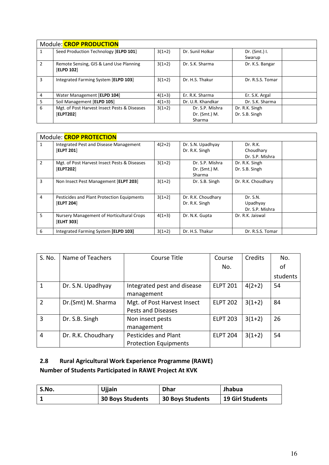|                | Module: CROP PRODUCTION                                      |          |                   |                  |  |  |
|----------------|--------------------------------------------------------------|----------|-------------------|------------------|--|--|
|                | Seed Production Technology [ELPD 101]                        | $3(1+2)$ | Dr. Sunil Holkar  | Dr. $(Smt.)$ I.  |  |  |
|                |                                                              |          |                   | Swarup           |  |  |
| $\overline{2}$ | Remote Sensing, GIS & Land Use Planning<br><b>[ELPD 102]</b> | $3(1+2)$ | Dr. S.K. Sharma   | Dr. K.S. Bangar  |  |  |
| 3              | Integrated Farming System [ELPD 103]                         | $3(1+2)$ | Dr. H.S. Thakur   | Dr. R.S.S. Tomar |  |  |
| 4              | Water Management [ELPD 104]                                  | $4(1+3)$ | Er. R.K. Sharma   | Er. S.K. Argal   |  |  |
| 5              | Soil Management [ELPD 105]                                   | $4(1=3)$ | Dr. U.R. Khandkar | Dr. S.K. Sharma  |  |  |
| 6              | Mgt. of Post Harvest Insect Pests & Diseases                 | $3(1+2)$ | Dr. S.P. Mishra   | Dr. R.K. Singh   |  |  |
|                | [ELPT202]                                                    |          | Dr. (Smt.) M.     | Dr. S.B. Singh   |  |  |
|                |                                                              |          | Sharma            |                  |  |  |

|                | Module: <b>CROP PROTECTION</b>                                  |          |                                            |                                          |  |
|----------------|-----------------------------------------------------------------|----------|--------------------------------------------|------------------------------------------|--|
| 1              | Integrated Pest and Disease Management<br>[ELPT 201]            | $4(2+2)$ | Dr. S.N. Upadhyay<br>Dr. R.K. Singh        | Dr. R.K.<br>Choudhary<br>Dr. S.P. Mishra |  |
| $\overline{2}$ | Mgt. of Post Harvest Insect Pests & Diseases<br>[ELPT202]       | $3(1+2)$ | Dr. S.P. Mishra<br>Dr. (Smt.) M.<br>Sharma | Dr. R.K. Singh<br>Dr. S.B. Singh         |  |
| 3              | Non Insect Pest Management [ELPT 203]                           | $3(1+2)$ | Dr. S.B. Singh                             | Dr. R.K. Choudhary                       |  |
| $\overline{4}$ | Pesticides and Plant Protection Equipments<br><b>[ELPT 204]</b> | $3(1+2)$ | Dr. R.K. Choudhary<br>Dr. R.K. Singh       | Dr. S.N.<br>Upadhyay<br>Dr. S.P. Mishra  |  |
| 5              | Nursery Management of Horticultural Crops<br><b>[ELHT 303]</b>  | $4(1+3)$ | Dr. N.K. Gupta                             | Dr. R.K. Jaiswal                         |  |
| 6              | Integrated Farming System [ELPD 103]                            | $3(1+2)$ | Dr. H.S. Thakur                            | Dr. R.S.S. Tomar                         |  |

| S. No.         | Name of Teachers   | Course Title                                                | Course          | Credits  | No.      |
|----------------|--------------------|-------------------------------------------------------------|-----------------|----------|----------|
|                |                    |                                                             | No.             |          | of       |
|                |                    |                                                             |                 |          | students |
| 1              | Dr. S.N. Upadhyay  | Integrated pest and disease<br>management                   | <b>ELPT 201</b> | $4(2+2)$ | 54       |
| $\overline{2}$ | Dr.(Smt) M. Sharma | Mgt. of Post Harvest Insect<br>Pests and Diseases           | <b>ELPT 202</b> | $3(1+2)$ | 84       |
| 3              | Dr. S.B. Singh     | Non insect pests<br>management                              | <b>ELPT 203</b> | $3(1+2)$ | 26       |
| 4              | Dr. R.K. Choudhary | <b>Pesticides and Plant</b><br><b>Protection Equipments</b> | <b>ELPT 204</b> | $3(1+2)$ | 54       |

## 2.8 Rural Agricultural Work Experience Programme (RAWE) Number of Students Participated in RAWE Project At KVK

| S.No. | Ujjain                  | <b>Dhar</b>             | Jhabua                  |
|-------|-------------------------|-------------------------|-------------------------|
|       | <b>30 Boys Students</b> | <b>30 Boys Students</b> | <b>19 Girl Students</b> |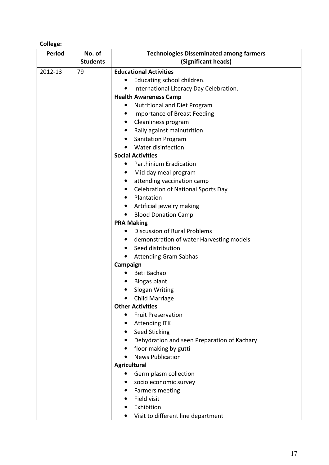## College:

| <b>Period</b> | No. of          | <b>Technologies Disseminated among farmers</b>                       |  |
|---------------|-----------------|----------------------------------------------------------------------|--|
|               | <b>Students</b> | (Significant heads)                                                  |  |
| 2012-13       | 79              | <b>Educational Activities</b>                                        |  |
|               |                 | Educating school children.                                           |  |
|               |                 | International Literacy Day Celebration.<br>$\bullet$                 |  |
|               |                 | <b>Health Awareness Camp</b>                                         |  |
|               |                 | Nutritional and Diet Program                                         |  |
|               |                 | Importance of Breast Feeding<br>$\bullet$                            |  |
|               |                 | Cleanliness program<br>$\bullet$                                     |  |
|               |                 | Rally against malnutrition<br>٠                                      |  |
|               |                 | <b>Sanitation Program</b>                                            |  |
|               |                 | Water disinfection<br>$\bullet$                                      |  |
|               |                 | <b>Social Activities</b>                                             |  |
|               |                 | <b>Parthinium Eradication</b><br>$\bullet$                           |  |
|               |                 | Mid day meal program                                                 |  |
|               |                 | attending vaccination camp<br>$\bullet$                              |  |
|               |                 | <b>Celebration of National Sports Day</b>                            |  |
|               |                 | Plantation                                                           |  |
|               |                 | Artificial jewelry making<br>٠                                       |  |
|               |                 | <b>Blood Donation Camp</b>                                           |  |
|               |                 | <b>PRA Making</b>                                                    |  |
|               |                 | <b>Discussion of Rural Problems</b>                                  |  |
|               |                 | demonstration of water Harvesting models<br>$\bullet$                |  |
|               |                 | Seed distribution                                                    |  |
|               |                 | <b>Attending Gram Sabhas</b><br>$\bullet$                            |  |
|               |                 | Campaign                                                             |  |
|               |                 | Beti Bachao                                                          |  |
|               |                 | Biogas plant                                                         |  |
|               |                 | Slogan Writing                                                       |  |
|               |                 | Child Marriage                                                       |  |
|               |                 | <b>Other Activities</b>                                              |  |
|               |                 | <b>Fruit Preservation</b>                                            |  |
|               |                 | <b>Attending ITK</b>                                                 |  |
|               |                 | <b>Seed Sticking</b><br>$\bullet$                                    |  |
|               |                 | Dehydration and seen Preparation of Kachary<br>floor making by gutti |  |
|               |                 | <b>News Publication</b>                                              |  |
|               |                 | <b>Agricultural</b>                                                  |  |
|               |                 | Germ plasm collection                                                |  |
|               |                 | socio economic survey                                                |  |
|               |                 | Farmers meeting                                                      |  |
|               |                 | Field visit                                                          |  |
|               |                 | Exhibition                                                           |  |
|               |                 | Visit to different line department                                   |  |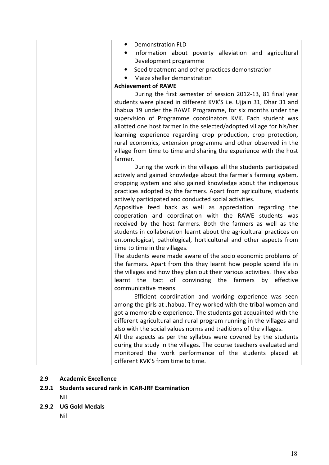| <b>Demonstration FLD</b><br>$\bullet$                                                                                               |
|-------------------------------------------------------------------------------------------------------------------------------------|
| Information about poverty alleviation and agricultural                                                                              |
| Development programme                                                                                                               |
| Seed treatment and other practices demonstration                                                                                    |
| Maize sheller demonstration                                                                                                         |
| <b>Achievement of RAWE</b>                                                                                                          |
| During the first semester of session 2012-13, 81 final year                                                                         |
| students were placed in different KVK'S i.e. Ujjain 31, Dhar 31 and                                                                 |
| Jhabua 19 under the RAWE Programme, for six months under the                                                                        |
| supervision of Programme coordinators KVK. Each student was                                                                         |
| allotted one host farmer in the selected/adopted village for his/her                                                                |
| learning experience regarding crop production, crop protection,                                                                     |
| rural economics, extension programme and other observed in the                                                                      |
| village from time to time and sharing the experience with the host                                                                  |
| farmer.                                                                                                                             |
| During the work in the villages all the students participated                                                                       |
| actively and gained knowledge about the farmer's farming system,                                                                    |
| cropping system and also gained knowledge about the indigenous                                                                      |
| practices adopted by the farmers. Apart from agriculture, students                                                                  |
| actively participated and conducted social activities.                                                                              |
| Appositive feed back as well as appreciation regarding the                                                                          |
| cooperation and coordination with the RAWE students was                                                                             |
| received by the host farmers. Both the farmers as well as the                                                                       |
| students in collaboration learnt about the agricultural practices on                                                                |
| entomological, pathological, horticultural and other aspects from                                                                   |
| time to time in the villages.                                                                                                       |
| The students were made aware of the socio economic problems of<br>the farmers. Apart from this they learnt how people spend life in |
| the villages and how they plan out their various activities. They also                                                              |
| learnt the tact of convincing the farmers by effective                                                                              |
| communicative means.                                                                                                                |
| Efficient coordination and working experience was seen                                                                              |
| among the girls at Jhabua. They worked with the tribal women and                                                                    |
| got a memorable experience. The students got acquainted with the                                                                    |
| different agricultural and rural program running in the villages and                                                                |
| also with the social values norms and traditions of the villages.                                                                   |
| All the aspects as per the syllabus were covered by the students                                                                    |
| during the study in the villages. The course teachers evaluated and                                                                 |
| monitored the work performance of the students placed at                                                                            |
| different KVK'S from time to time.                                                                                                  |

## 2.9 Academic Excellence

## 2.9.1 Students secured rank in ICAR-JRF Examination

Nil

# 2.9.2 UG Gold Medals

Nil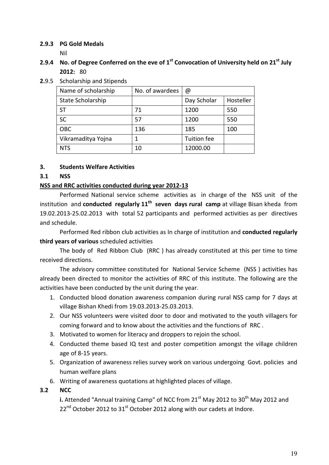#### 2.9.3 PG Gold Medals

Nil

- 2.9.4 No. of Degree Conferred on the eve of  $1<sup>st</sup>$  Convocation of University held on 21 $<sup>st</sup>$  July</sup> 2012: 80
- 2.9.5 Scholarship and Stipends

| Name of scholarship | No. of awardees | @           |           |
|---------------------|-----------------|-------------|-----------|
| State Scholarship   |                 | Day Scholar | Hosteller |
| ST                  | 71              | 1200        | 550       |
| <b>SC</b>           | 57              | 1200        | 550       |
| <b>OBC</b>          | 136             | 185         | 100       |
| Vikramaditya Yojna  |                 | Tuition fee |           |
| <b>NTS</b>          | 10              | 12000.00    |           |

#### 3. Students Welfare Activities

#### 3.1 NSS

#### NSS and RRC activities conducted during year 2012-13

Performed National service scheme activities as in charge of the NSS unit of the institution and conducted regularly  $11<sup>th</sup>$  seven days rural camp at village Bisan kheda from 19.02.2013-25.02.2013 with total 52 participants and performed activities as per directives and schedule.

Performed Red ribbon club activities as In charge of institution and conducted regularly third years of various scheduled activities

The body of Red Ribbon Club (RRC ) has already constituted at this per time to time received directions.

The advisory committee constituted for National Service Scheme (NSS ) activities has already been directed to monitor the activities of RRC of this institute. The following are the activities have been conducted by the unit during the year.

- 1. Conducted blood donation awareness companion during rural NSS camp for 7 days at village Bishan Khedi from 19.03.2013-25.03.2013.
- 2. Our NSS volunteers were visited door to door and motivated to the youth villagers for coming forward and to know about the activities and the functions of RRC .
- 3. Motivated to women for literacy and droppers to rejoin the school.
- 4. Conducted theme based IQ test and poster competition amongst the village children age of 8-15 years.
- 5. Organization of awareness relies survey work on various undergoing Govt. policies and human welfare plans
- 6. Writing of awareness quotations at highlighted places of village.

#### 3.2 NCC

i. Attended "Annual training Camp" of NCC from 21 $^{\rm st}$  May 2012 to 30 $^{\rm th}$  May 2012 and  $22^{nd}$  October 2012 to 31<sup>st</sup> October 2012 along with our cadets at Indore.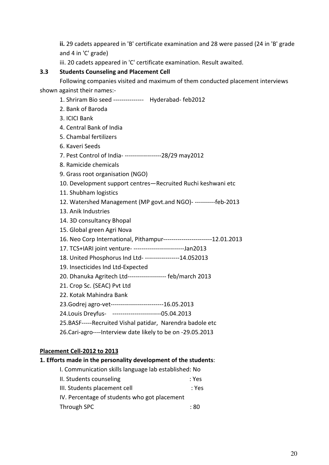ii. 29 cadets appeared in 'B' certificate examination and 28 were passed (24 in 'B' grade and 4 in 'C' grade)

iii. 20 cadets appeared in 'C' certificate examination. Result awaited.

#### 3.3 Students Counseling and Placement Cell

Following companies visited and maximum of them conducted placement interviews shown against their names:-

- 1. Shriram Bio seed --------------- Hyderabad- feb2012
- 2. Bank of Baroda
- 3. ICICI Bank
- 4. Central Bank of India
- 5. Chambal fertilizers
- 6. Kaveri Seeds
- 7. Pest Control of India- ------------------28/29 may2012
- 8. Ramicide chemicals
- 9. Grass root organisation (NGO)
- 10. Development support centres—Recruited Ruchi keshwani etc
- 11. Shubham logistics
- 12. Watershed Management (MP govt.and NGO)- ----------feb-2013
- 13. Anik Industries
- 14. 3D consultancy Bhopal
- 15. Global green Agri Nova
- 16. Neo Corp International, Pithampur------------------------12.01.2013
- 17. TCS+IARI joint venture- -------------------------Jan2013
- 18. United Phosphorus Ind Ltd- -----------------14.052013
- 19. Insecticides Ind Ltd-Expected
- 20. Dhanuka Agritech Ltd------------------- feb/march 2013
- 21. Crop Sc. (SEAC) Pvt Ltd
- 22. Kotak Mahindra Bank
- 23.Godrej agro-vet--------------------------16.05.2013
- 24.Louis Dreyfus- ------------------------05.04.2013
- 25.BASF-----Recruited Vishal patidar, Narendra badole etc
- 26.Cari-agro----Interview date likely to be on -29.05.2013

#### Placement Cell-2012 to 2013

#### 1. Efforts made in the personality development of the students:

I. Communication skills language lab established: No II. Students counseling in the students of the students of the students of the students of the students of the III. Students placement cell interests in the system of the state of the state of the state of the state of the IV. Percentage of students who got placement Through SPC : 80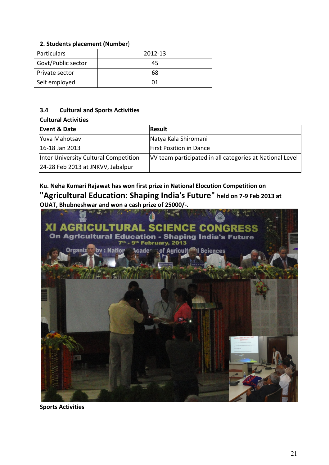#### 2. Students placement (Number)

| Particulars        | 2012-13 |
|--------------------|---------|
| Govt/Public sector | 45      |
| Private sector     | 68      |
| Self employed      | በ1      |

#### 3.4 Cultural and Sports Activities

#### Cultural Activities

| Event & Date                          | Result                                                   |
|---------------------------------------|----------------------------------------------------------|
| Yuva Mahotsav                         | Natya Kala Shiromani                                     |
| 16-18 Jan 2013                        | <b>First Position in Dance</b>                           |
| Inter University Cultural Competition | VV team participated in all categories at National Level |
| 24-28 Feb 2013 at JNKVV, Jabalpur     |                                                          |

Ku. Neha Kumari Rajawat has won first prize in National Elocution Competition on "Agricultural Education: Shaping India's Future" held on 7-9 Feb 2013 at OUAT, Bhubneshwar and won a cash prize of 25000/-.



Sports Activities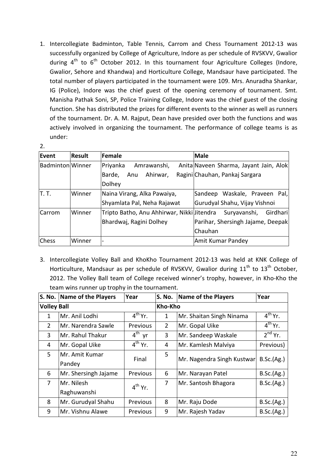1. Intercollegiate Badminton, Table Tennis, Carrom and Chess Tournament 2012-13 was successfully organized by College of Agriculture, Indore as per schedule of RVSKVV, Gwalior during  $4<sup>th</sup>$  to  $6<sup>th</sup>$  October 2012. In this tournament four Agriculture Colleges (Indore, Gwalior, Sehore and Khandwa) and Horticulture College, Mandsaur have participated. The total number of players participated in the tournament were 109. Mrs. Anuradha Shankar, IG (Police), Indore was the chief guest of the opening ceremony of tournament. Smt. Manisha Pathak Soni, SP, Police Training College, Indore was the chief guest of the closing function. She has distributed the prizes for different events to the winner as well as runners of the tournament. Dr. A. M. Rajput, Dean have presided over both the functions and was actively involved in organizing the tournament. The performance of college teams is as under:

| ۰.         |  |
|------------|--|
| č<br>٢<br> |  |
|            |  |

| Event            | Result | Female                                                  | <b>Male</b>                            |
|------------------|--------|---------------------------------------------------------|----------------------------------------|
| Badminton Winner |        | Priyanka<br>Amrawanshi,                                 | Anita Naveen Sharma, Jayant Jain, Alok |
|                  |        | Ahirwar,<br>Barde,<br>Anu                               | Ragini Chauhan, Pankaj Sargara         |
|                  |        | Dolhey                                                  |                                        |
| IT. T.           | Winner | Naina Virang, Alka Pawaiya,                             | Sandeep Waskale, Praveen Pal,          |
|                  |        | Shyamlata Pal, Neha Rajawat                             | Gurudyal Shahu, Vijay Vishnoi          |
| Carrom           | Winner | Tripto Batho, Anu Ahhirwar, Nikki Jitendra Suryavanshi, | Girdhari                               |
|                  |        | Bhardwaj, Ragini Dolhey                                 | Parihar, Shersingh Jajame, Deepak      |
|                  |        |                                                         | Chauhan                                |
| <b>Chess</b>     | Winner |                                                         | Amit Kumar Pandey                      |

3. Intercollegiate Volley Ball and KhoKho Tournament 2012-13 was held at KNK College of Horticulture, Mandsaur as per schedule of RVSKVV, Gwalior during  $11<sup>th</sup>$  to  $13<sup>th</sup>$  October, 2012. The Volley Ball team of College received winner's trophy, however, in Kho-Kho the team wins runner up trophy in the tournament.

|                    | S. No. Name of the Players | Year            | <b>S. No.</b> | Name of the Players        | Year                    |
|--------------------|----------------------------|-----------------|---------------|----------------------------|-------------------------|
| <b>Volley Ball</b> |                            |                 | Kho-Kho       |                            |                         |
| 1                  | Mr. Anil Lodhi             | $4^{th}$ Yr.    | 1             | Mr. Shaitan Singh Ninama   | $4^{th}$ Yr.            |
| $\overline{2}$     | Mr. Narendra Sawle         | Previous        | 2             | Mr. Gopal Uike             | $\overline{4^{th}}$ Yr. |
| 3                  | Mr. Rahul Thakur           | $4^{th}$ yr     | 3             | Mr. Sandeep Waskale        | $2^{nd}$ Yr.            |
| 4                  | Mr. Gopal Uike             | $4th$ Yr.       | 4             | Mr. Kamlesh Malviya        | Previous)               |
| 5                  | Mr. Amit Kumar             | Final           | 5             | Mr. Nagendra Singh Kustwar | B.Sc.(Ag.)              |
|                    | Pandey                     |                 |               |                            |                         |
| 6                  | Mr. Shersingh Jajame       | Previous        | 6             | Mr. Narayan Patel          | B.Sc.(Ag.)              |
| $\overline{7}$     | Mr. Nilesh                 | $4^{th}$ Yr.    | 7             | Mr. Santosh Bhagora        | B.Sc.(Ag.)              |
|                    | Raghuwanshi                |                 |               |                            |                         |
| 8                  | Mr. Gurudyal Shahu         | <b>Previous</b> | 8             | Mr. Raju Dode              | B.Sc.(Ag.)              |
| 9                  | Mr. Vishnu Alawe           | <b>Previous</b> | 9             | Mr. Rajesh Yadav           | B.Sc.(Ag.)              |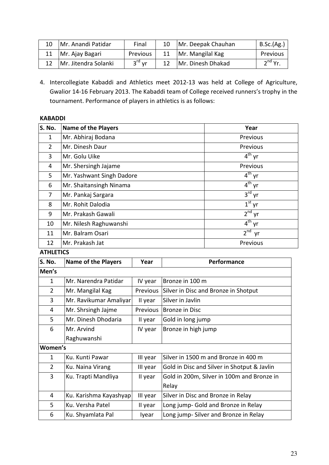| Mr. Anandi Patidar   | Final    | 10 <sup>1</sup> | Mr. Deepak Chauhan | B.Sc.(Ag.) |
|----------------------|----------|-----------------|--------------------|------------|
| 11   Mr. Ajay Bagari | Previous | 11              | Mr. Mangilal Kag   | Previous   |
| Mr. Jitendra Solanki | $3rd$ vr |                 | Mr. Dinesh Dhakad  | $2nd$ Yr.  |

4. Intercollegiate Kabaddi and Athletics meet 2012-13 was held at College of Agriculture, Gwalior 14-16 February 2013. The Kabaddi team of College received runners's trophy in the tournament. Performance of players in athletics is as follows:

#### KABADDI

| S. No.         | <b>Name of the Players</b> | Year                  |
|----------------|----------------------------|-----------------------|
| $\mathbf{1}$   | Mr. Abhiraj Bodana         | Previous              |
| $\overline{2}$ | Mr. Dinesh Daur            | Previous              |
| 3              | Mr. Golu Uike              | $4^{th}$ yr           |
| 4              | Mr. Shersingh Jajame       | Previous              |
| 5              | Mr. Yashwant Singh Dadore  | $4^{\text{th}}$ yr    |
| 6              | Mr. Shaitansingh Ninama    | $4^{th}$ yr           |
| $\overline{7}$ | Mr. Pankaj Sargara         | $3^{\text{rd}}$ yr    |
| 8              | Mr. Rohit Dalodia          | $1st$ yr              |
| 9              | Mr. Prakash Gawali         | $2^{nd}$ yr           |
| 10             | Mr. Nilesh Raghuwanshi     | $4^{th}$ yr           |
| 11             | Mr. Balram Osari           | 2 <sup>nd</sup><br>yr |
| 12             | Mr. Prakash Jat            | Previous              |

**ATHLETICS** 

| S. No.         | <b>Name of the Players</b> | Year     | Performance                                 |
|----------------|----------------------------|----------|---------------------------------------------|
| Men's          |                            |          |                                             |
| 1              | Mr. Narendra Patidar       | IV year  | Bronze in 100 m                             |
| $\overline{2}$ | Mr. Mangilal Kag           | Previous | Silver in Disc and Bronze in Shotput        |
| 3              | Mr. Ravikumar Amaliyar     | II year  | Silver in Javlin                            |
| 4              | Mr. Shrsingh Jajme         | Previous | Bronze in Disc                              |
| 5              | Mr. Dinesh Dhodaria        | II year  | Gold in long jump                           |
| 6              | Mr. Arvind                 | IV year  | Bronze in high jump                         |
|                | Raghuwanshi                |          |                                             |
| Women's        |                            |          |                                             |
| $\mathbf{1}$   | Ku. Kunti Pawar            | III year | Silver in 1500 m and Bronze in 400 m        |
| $\overline{2}$ | Ku. Naina Virang           | III year | Gold in Disc and Silver in Shotput & Javlin |
| 3              | Ku. Trapti Mandliya        | II year  | Gold in 200m, Silver in 100m and Bronze in  |
|                |                            |          | Relay                                       |
| 4              | Ku. Karishma Kayashyap     | III year | Silver in Disc and Bronze in Relay          |
| 5              | Ku. Versha Patel           | II year  | Long jump- Gold and Bronze in Relay         |
| 6              | Ku. Shyamlata Pal          | lyear    | Long jump-Silver and Bronze in Relay        |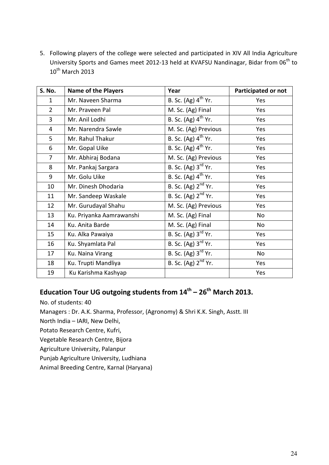5. Following players of the college were selected and participated in XIV All India Agriculture University Sports and Games meet 2012-13 held at KVAFSU Nandinagar, Bidar from 06<sup>th</sup> to  $10^{th}$  March 2013

| S. No.         | <b>Name of the Players</b> | Year                                          | <b>Participated or not</b> |
|----------------|----------------------------|-----------------------------------------------|----------------------------|
| 1              | Mr. Naveen Sharma          | B. Sc. (Ag) $4^{th}$ Yr.                      | Yes                        |
| $\overline{2}$ | Mr. Praveen Pal            | M. Sc. (Ag) Final                             | Yes                        |
| 3              | Mr. Anil Lodhi             | B. Sc. (Ag) 4 <sup>th</sup> Yr.               | Yes                        |
| 4              | Mr. Narendra Sawle         | M. Sc. (Ag) Previous                          | Yes                        |
| 5              | Mr. Rahul Thakur           | B. Sc. (Ag) $4^{th}$ Yr.                      | Yes                        |
| 6              | Mr. Gopal Uike             | B. Sc. (Ag) $4^{th}$ Yr.                      | Yes                        |
| $\overline{7}$ | Mr. Abhiraj Bodana         | M. Sc. (Ag) Previous                          | Yes                        |
| 8              | Mr. Pankaj Sargara         | B. Sc. $(Ag)$ 3 <sup>rd</sup> Yr.             | Yes                        |
| 9              | Mr. Golu Uike              | B. Sc. (Ag) $4^{th}$ Yr.                      | Yes                        |
| 10             | Mr. Dinesh Dhodaria        | B. Sc. (Ag) 2 <sup>nd</sup> Yr.               | Yes                        |
| 11             | Mr. Sandeep Waskale        | B. Sc. (Ag) 2 <sup>nd</sup> Yr.               | Yes                        |
| 12             | Mr. Gurudayal Shahu        | M. Sc. (Ag) Previous                          | Yes                        |
| 13             | Ku. Priyanka Aamrawanshi   | M. Sc. (Ag) Final                             | <b>No</b>                  |
| 14             | Ku. Anita Barde            | M. Sc. (Ag) Final                             | <b>No</b>                  |
| 15             | Ku. Alka Pawaiya           | $\overline{B.$ Sc. $(Ag)$ 3 <sup>rd</sup> Yr. | Yes                        |
| 16             | Ku. Shyamlata Pal          | B. Sc. $(Ag)$ 3 <sup>rd</sup> Yr.             | Yes                        |
| 17             | Ku. Naina Virang           | B. Sc. (Ag) 3 <sup>rd</sup> Yr.               | No                         |
| 18             | Ku. Trupti Mandliya        | B. Sc. (Ag) 2 <sup>nd</sup> Yr.               | Yes                        |
| 19             | Ku Karishma Kashyap        |                                               | Yes                        |

# Education Tour UG outgoing students from  $14^{\text{th}} - 26^{\text{th}}$  March 2013.

No. of students: 40

Managers : Dr. A.K. Sharma, Professor, (Agronomy) & Shri K.K. Singh, Asstt. III

- North India IARI, New Delhi,
- Potato Research Centre, Kufri,
- Vegetable Research Centre, Bijora

Agriculture University, Palanpur

Punjab Agriculture University, Ludhiana

Animal Breeding Centre, Karnal (Haryana)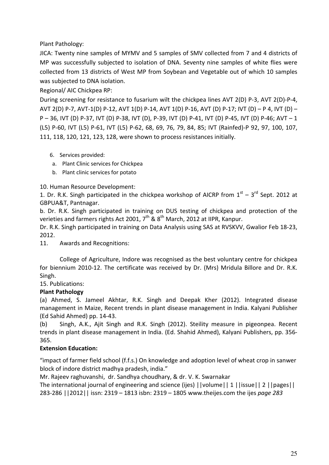Plant Pathology:

JICA: Twenty nine samples of MYMV and 5 samples of SMV collected from 7 and 4 districts of MP was successfully subjected to isolation of DNA. Seventy nine samples of white flies were collected from 13 districts of West MP from Soybean and Vegetable out of which 10 samples was subjected to DNA isolation.

Regional/ AIC Chickpea RP:

During screening for resistance to fusarium wilt the chickpea lines AVT 2(D) P-3, AVT 2(D)-P-4, AVT 2(D) P-7, AVT-1(D) P-12, AVT 1(D) P-14, AVT 1(D) P-16, AVT (D) P-17; IVT (D) – P 4, IVT (D) – P – 36, IVT (D) P-37, IVT (D) P-38, IVT (D), P-39, IVT (D) P-41, IVT (D) P-45, IVT (D) P-46; AVT – 1 (L5) P-60, IVT (L5) P-61, IVT (L5) P-62, 68, 69, 76, 79, 84, 85; IVT (Rainfed)-P 92, 97, 100, 107, 111, 118, 120, 121, 123, 128, were shown to process resistances initially.

- 6. Services provided:
- a. Plant Clinic services for Chickpea
- b. Plant clinic services for potato

10. Human Resource Development:

1. Dr. R.K. Singh participated in the chickpea workshop of AICRP from  $1<sup>st</sup> - 3<sup>rd</sup>$  Sept. 2012 at GBPUA&T, Pantnagar.

b. Dr. R.K. Singh participated in training on DUS testing of chickpea and protection of the verieties and farmers rights Act 2001,  $7^{th}$  &  $8^{th}$  March, 2012 at IIPR, Kanpur.

Dr. R.K. Singh participated in training on Data Analysis using SAS at RVSKVV, Gwalior Feb 18-23, 2012.

11. Awards and Recognitions:

College of Agriculture, Indore was recognised as the best voluntary centre for chickpea for biennium 2010-12. The certificate was received by Dr. (Mrs) Mridula Billore and Dr. R.K. Singh.

15. Publications:

#### Plant Pathology

(a) Ahmed, S. Jameel Akhtar, R.K. Singh and Deepak Kher (2012). Integrated disease management in Maize, Recent trends in plant disease management in India. Kalyani Publisher (Ed Sahid Ahmed) pp. 14-43.

(b) Singh, A.K., Ajit Singh and R.K. Singh (2012). Steility measure in pigeonpea. Recent trends in plant disease management in India. (Ed. Shahid Ahmed), Kalyani Publishers, pp. 356- 365.

#### Extension Education:

"impact of farmer field school (f.f.s.) On knowledge and adoption level of wheat crop in sanwer block of indore district madhya pradesh, india."

Mr. Rajeev raghuvanshi, dr. Sandhya choudhary, & dr. V. K. Swarnakar

The international journal of engineering and science (ijes) ||volume|| 1 ||issue|| 2 ||pages|| 283-286 ||2012|| issn: 2319 – 1813 isbn: 2319 – 1805 www.theijes.com the ijes page 283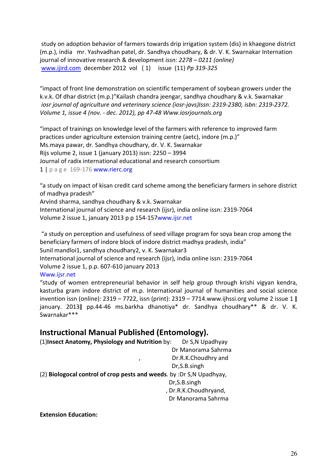study on adoption behavior of farmers towards drip irrigation system (dis) in khaegone district (m.p.), india mr. Yashvadhan patel, dr. Sandhya choudhary, & dr. V. K. Swarnakar Internation journal of innovative research & development issn: 2278 – 0211 (online) www.ijird.com december 2012 vol ( 1) issue (11) Pp 319-325

"impact of front line demonstration on scientific temperament of soybean growers under the k.v.k. Of dhar district (m.p.)"Kailash chandra jeengar, sandhya choudhary & v.k. Swarnakar iosr journal of agriculture and veterinary science (iosr-javs)Issn: 2319-2380, isbn: 2319-2372. Volume 1, issue 4 (nov. - dec. 2012), pp 47-48 Www.iosrjournals.org

"impact of trainings on knowledge level of the farmers with reference to improved farm practices under agriculture extension training centre (aetc), indore (m.p.)" Ms.maya pawar, dr. Sandhya choudhary, dr. V. K. Swarnakar Rijs volume 2, issue 1 (january 2013) issn: 2250 – 3994 Journal of radix international educational and research consortium  $1 | p \text{ a ge } 169 - 176$  www.rierc.org

"a study on impact of kisan credit card scheme among the beneficiary farmers in sehore district of madhya pradesh"

Arvind sharma, sandhya choudhary & v.k. Swarnakar International journal of science and research (ijsr), india online issn: 2319-7064 Volume 2 issue 1, january 2013 p p 154-157www.ijsr.net

 "a study on perception and usefulness of seed village program for soya bean crop among the beneficiary farmers of indore block of indore district madhya pradesh, india" Sunil mandloi1, sandhya choudhary2, v. K. Swarnakar3 International journal of science and research (ijsr), india online issn: 2319-7064 Volume 2 issue 1, p.p. 607-610 january 2013

Www.ijsr.net

"study of women entrepreneurial behavior in self help group through krishi vigyan kendra, kasturba gram indore district of m.p. International journal of humanities and social science invention issn (online): 2319 – 7722, issn (print): 2319 – 7714.www.ijhssi.org volume 2 issue 1 ǁ january. 2013ǁ pp.44-46 ms.barkha dhanotiya\* dr. Sandhya choudhary\*\* & dr. V. K. Swarnakar\*\*\*

## Instructional Manual Published (Entomology).

| (1) Insect Anatomy, Physiology and Nutrition by:                     | Dr S, N Upadhyay      |  |  |
|----------------------------------------------------------------------|-----------------------|--|--|
|                                                                      | Dr Manorama Sahrma    |  |  |
| $\mathbf{r}$                                                         | Dr.R.K.Choudhry and   |  |  |
|                                                                      | Dr, S.B. singh        |  |  |
| (2) Biologocal control of crop pests and weeds. by :Dr S,N Upadhyay, |                       |  |  |
|                                                                      | Dr, S.B. singh        |  |  |
|                                                                      | , Dr.R.K.Choudhryand, |  |  |
|                                                                      | Dr Manorama Sahrma    |  |  |
|                                                                      |                       |  |  |

Extension Education: